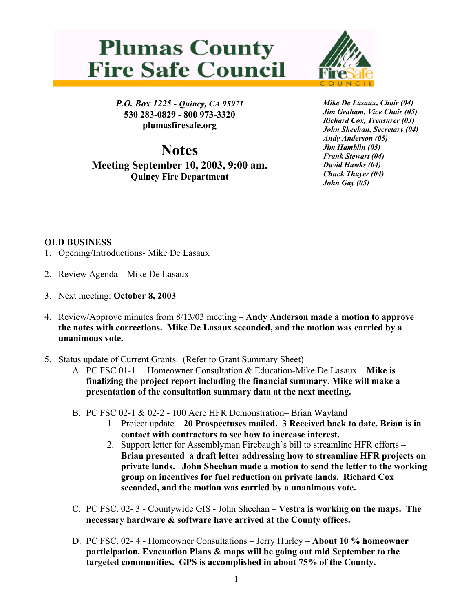## **Plumas County Fire Safe Council**



*P.O. Box 1225 - Quincy, CA 95971*  **530 283-0829 - 800 973-3320 plumasfiresafe.org** 

**Notes Meeting September 10, 2003, 9:00 am. Quincy Fire Department**

*Mike De Lasaux, Chair (04) Jim Graham, Vice Chair (05) Richard Cox, Treasurer (03) John Sheehan, Secretary (04) Andy Anderson (05) Jim Hamblin (05) Frank Stewart (04) David Hawks (04) Chuck Thayer (04) John Gay (05)*

## **OLD BUSINESS**

- 1. Opening/Introductions- Mike De Lasaux
- 2. Review Agenda Mike De Lasaux
- 3. Next meeting: **October 8, 2003**
- 4. Review/Approve minutes from 8/13/03 meeting – **Andy Anderson made a motion to approve the notes with corrections. Mike De Lasaux seconded, and the motion was carried by a unanimous vote.**
- 5. Status update of Current Grants. (Refer to Grant Summary Sheet)
	- A. PC FSC 01-1— Homeowner Consultation & Education-Mike De Lasaux **Mike is finalizing the project report including the financial summary**. **Mike will make a presentation of the consultation summary data at the next meeting.**
	- B. PC FSC 02-1 & 02-2 100 Acre HFR Demonstration– Brian Wayland
		- 1. Project update **20 Prospectuses mailed. 3 Received back to date. Brian is in contact with contractors to see how to increase interest.**
		- 2. Support letter for Assemblyman Firebaugh's bill to streamline HFR efforts **Brian presented a draft letter addressing how to streamline HFR projects on private lands. John Sheehan made a motion to send the letter to the working group on incentives for fuel reduction on private lands. Richard Cox seconded, and the motion was carried by a unanimous vote.**
	- C. PC FSC. 02- 3 Countywide GIS John Sheehan **Vestra is working on the maps. The necessary hardware & software have arrived at the County offices.**
	- D. PC FSC. 02- 4 Homeowner Consultations Jerry Hurley **About 10 % homeowner participation. Evacuation Plans & maps will be going out mid September to the targeted communities. GPS is accomplished in about 75% of the County.**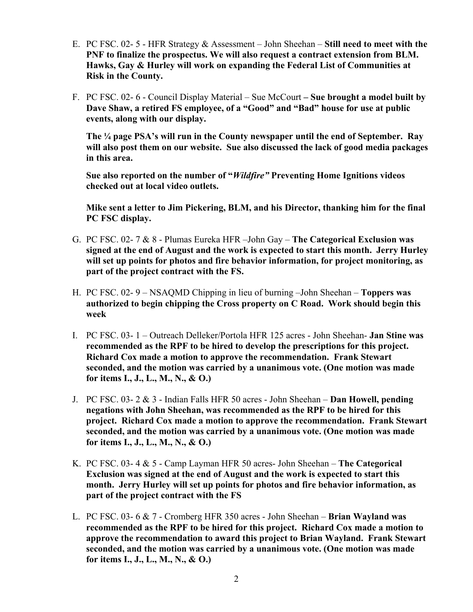- E. PC FSC. 02- 5 HFR Strategy & Assessment John Sheehan **Still need to meet with the PNF to finalize the prospectus. We will also request a contract extension from BLM. Hawks, Gay & Hurley will work on expanding the Federal List of Communities at Risk in the County.**
- F. PC FSC. 02- 6 Council Display Material Sue McCourt  **Sue brought a model built by Dave Shaw, a retired FS employee, of a "Good" and "Bad" house for use at public events, along with our display.**

**The ¼ page PSA's will run in the County newspaper until the end of September. Ray will also post them on our website. Sue also discussed the lack of good media packages in this area.** 

**Sue also reported on the number of "***Wildfire"* **Preventing Home Ignitions videos checked out at local video outlets.** 

**Mike sent a letter to Jim Pickering, BLM, and his Director, thanking him for the final PC FSC display.**

- G. PC FSC. 02- 7 & 8 Plumas Eureka HFR –John Gay **The Categorical Exclusion was signed at the end of August and the work is expected to start this month. Jerry Hurley will set up points for photos and fire behavior information, for project monitoring, as part of the project contract with the FS.**
- H. PC FSC. 02- 9 NSAQMD Chipping in lieu of burning –John Sheehan **Toppers was authorized to begin chipping the Cross property on C Road. Work should begin this week**
- I. PC FSC. 03- 1 Outreach Delleker/Portola HFR 125 acres John Sheehan- **Jan Stine was recommended as the RPF to be hired to develop the prescriptions for this project. Richard Cox made a motion to approve the recommendation. Frank Stewart seconded, and the motion was carried by a unanimous vote. (One motion was made for items I., J., L., M., N., & O.)**
- J. PC FSC. 03- 2 & 3 Indian Falls HFR 50 acres John Sheehan **Dan Howell, pending negations with John Sheehan, was recommended as the RPF to be hired for this project. Richard Cox made a motion to approve the recommendation. Frank Stewart seconded, and the motion was carried by a unanimous vote. (One motion was made for items I., J., L., M., N., & O.)**
- K. PC FSC. 03- 4 & 5 Camp Layman HFR 50 acres- John Sheehan **The Categorical Exclusion was signed at the end of August and the work is expected to start this month. Jerry Hurley will set up points for photos and fire behavior information, as part of the project contract with the FS**
- L. PC FSC. 03- 6 & 7 Cromberg HFR 350 acres John Sheehan **Brian Wayland was recommended as the RPF to be hired for this project. Richard Cox made a motion to approve the recommendation to award this project to Brian Wayland. Frank Stewart seconded, and the motion was carried by a unanimous vote. (One motion was made for items I., J., L., M., N., & O.)**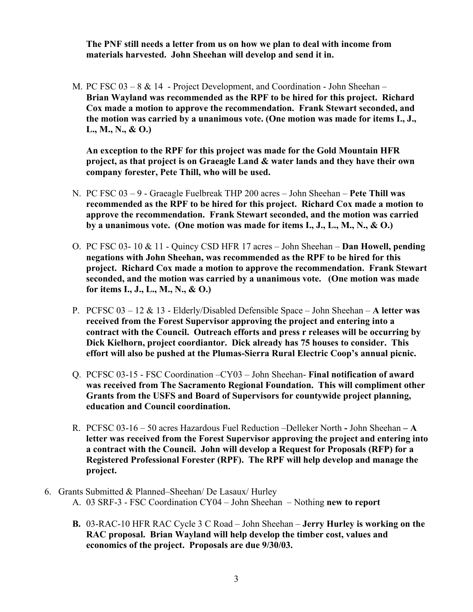**The PNF still needs a letter from us on how we plan to deal with income from materials harvested. John Sheehan will develop and send it in.** 

M. PC FSC 03 – 8 & 14 - Project Development, and Coordination - John Sheehan – **Brian Wayland was recommended as the RPF to be hired for this project. Richard Cox made a motion to approve the recommendation. Frank Stewart seconded, and the motion was carried by a unanimous vote. (One motion was made for items I., J., L., M., N., & O.)** 

**An exception to the RPF for this project was made for the Gold Mountain HFR project, as that project is on Graeagle Land & water lands and they have their own company forester, Pete Thill, who will be used.** 

- N. PC FSC 03 9 Graeagle Fuelbreak THP 200 acres John Sheehan **Pete Thill was recommended as the RPF to be hired for this project. Richard Cox made a motion to approve the recommendation. Frank Stewart seconded, and the motion was carried by a unanimous vote. (One motion was made for items I., J., L., M., N., & O.)**
- O. PC FSC 03- 10 & 11 Quincy CSD HFR 17 acres John Sheehan – **Dan Howell, pending negations with John Sheehan, was recommended as the RPF to be hired for this project. Richard Cox made a motion to approve the recommendation. Frank Stewart seconded, and the motion was carried by a unanimous vote. (One motion was made for items I., J., L., M., N., & O.)**
- P. PCFSC 03 12 & 13 Elderly/Disabled Defensible Space John Sheehan **A letter was received from the Forest Supervisor approving the project and entering into a contract with the Council. Outreach efforts and press r releases will be occurring by Dick Kielhorn, project coordiantor. Dick already has 75 houses to consider. This effort will also be pushed at the Plumas-Sierra Rural Electric Coop's annual picnic.**
- Q. PCFSC 03-15 FSC Coordination –CY03 John Sheehan- **Final notification of award was received from The Sacramento Regional Foundation. This will compliment other Grants from the USFS and Board of Supervisors for countywide project planning, education and Council coordination.**
- R. PCFSC 03-16 50 acres Hazardous Fuel Reduction –Delleker North **-** John Sheehan **A letter was received from the Forest Supervisor approving the project and entering into a contract with the Council. John will develop a Request for Proposals (RFP) for a Registered Professional Forester (RPF). The RPF will help develop and manage the project.**
- 6. Grants Submitted & Planned–Sheehan/ De Lasaux/ Hurley A. 03 SRF-3 - FSC Coordination CY04 – John Sheehan – Nothing **new to report**
	- **B.** 03-RAC-10 HFR RAC Cycle 3 C Road John Sheehan **Jerry Hurley is working on the RAC proposal. Brian Wayland will help develop the timber cost, values and economics of the project. Proposals are due 9/30/03.**